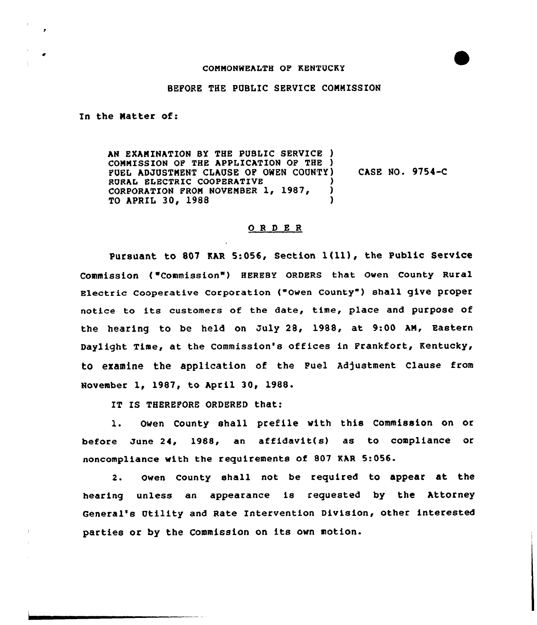## COMMONWEhLTH OP KENTUCKY



## BEFORE THE PUBLIC SERVICE CONNISSION

In the Natter of:

AN EXAMINATION BY THE PUBLIC SERVICE ) COMMISSION OF THE APPLICATION OF THE ) FUEL ADJUSTNENT CLAUSE OF OWEN COUNTY) RURAL ELECTRIC COOPERATIVE (397. )<br>CORPORATION FROM NOVEMBER 1. 1987. ) CORPORATION FROM NOVEMBER  $1, 1987,$  )<br>TO APRIL 30, 1988 TO APRIL 30, 1988 CASE NO. 9754-C

## ORDER

Pursuant to <sup>807</sup> KAR 5:056, Section l(ll), the Public Service Commission ("Commission") HEREBY ORDERS that Owen County Rural Electric Cooperative Corporation ("Owen County") shall give proper notice to its customers of the date, time, place and purpose of the hearing to be held on July 28, 1988, at 9:00 AN, Eastern Daylight Time, at the Commission's offices in Frankfort, Kentucky, to examine the application of the Fuel Adjustment Clause from November 1, 1987, to April 30, 1988.

IT IS THEREFORE ORDERED that:

l. Owen County shall prefile with this Commission on or before June 24, 1988, an affidavit(s) as to compliance or noncompliance with the requirements of 807 KAR 5:056.

2. owen county shall not be required to appear at the hearing unless an appearance is requested by the Attorney General's Utility and Rate Intervention Division, other interested parties or by the Commission on its own motion.